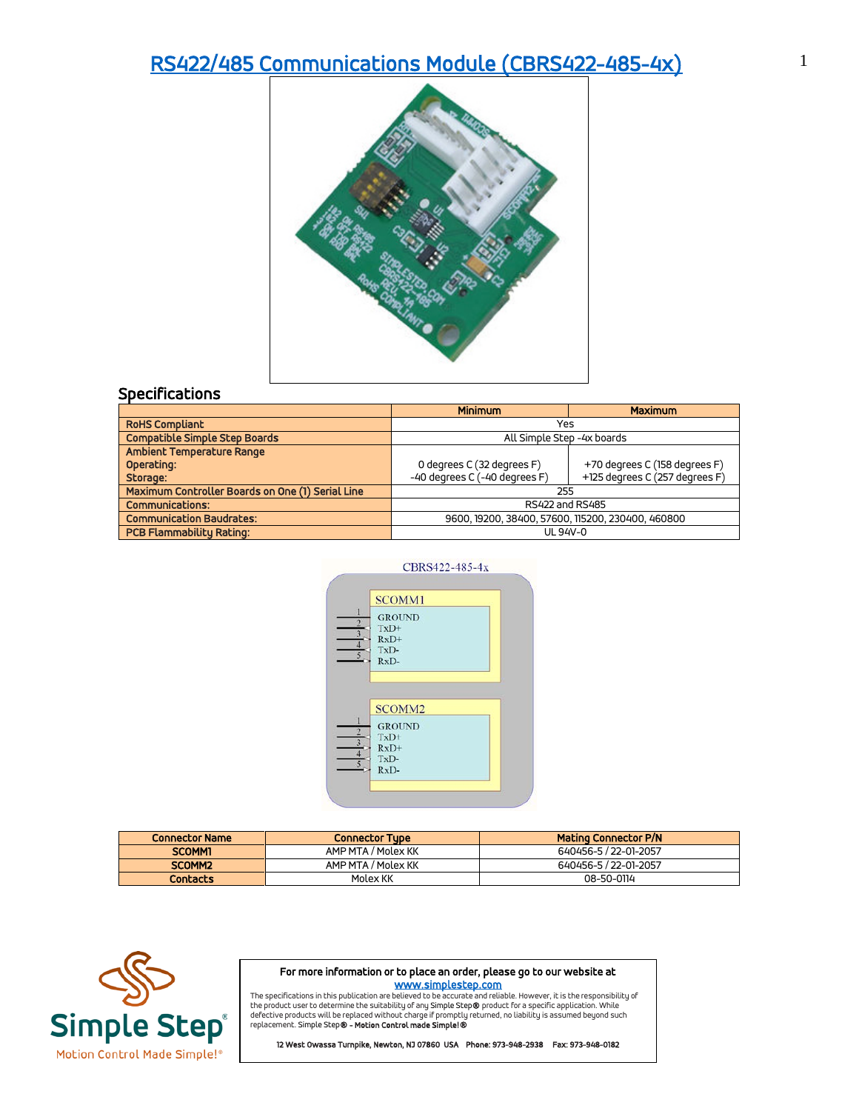## [RS422/485 Communications Module \(CBRS422-485-4x\)](https://simplestep.com/product/cbrs422-485/) 1



|                                                  | <b>Minimum</b>                                    | <b>Maximum</b>                 |
|--------------------------------------------------|---------------------------------------------------|--------------------------------|
| <b>RoHS Compliant</b>                            | Yes                                               |                                |
| <b>Compatible Simple Step Boards</b>             | All Simple Step -4x boards                        |                                |
| Ambient Temperature Range                        |                                                   |                                |
| Operating:                                       | 0 degrees C (32 degrees F)                        | +70 degrees C (158 degrees F)  |
| Storage:                                         | -40 degrees C (-40 degrees F)                     | +125 degrees C (257 degrees F) |
| Maximum Controller Boards on One (1) Serial Line | 255                                               |                                |
| <b>Communications:</b>                           | RS422 and RS485                                   |                                |
| <b>Communication Baudrates:</b>                  | 9600, 19200, 38400, 57600, 115200, 230400, 460800 |                                |
| <b>PCB Flammability Rating:</b>                  | UL 94V-0                                          |                                |



| <b>Connector Name</b> | <b>Connector Type</b> | <b>Mating Connector P/N</b> |
|-----------------------|-----------------------|-----------------------------|
| <b>SCOMM1</b>         | AMP MTA / Molex KK    | 640456-5 / 22-01-2057       |
| SCOMM <sub>2</sub>    | AMP MTA / Molex KK    | 640456-5 / 22-01-2057       |
| <b>Contacts</b>       | Molex KK              | 08-50-0114                  |



## For more information or to place an order, please go to our website at

www.simplestep.com<br>The specifications in this publication are believed to be accurate and reliable. However, it is the responsibility of the product user to determine the suitability of any Simple Step**®** product for a specific application. While<br>defective products will be replaced without charge if promptly returned, no liability is assumed beyond such<br>rep

12 West Owassa Turnpike, Newton, NJ 07860 USA Phone: 973-948-2938 Fax: 973-948-0182